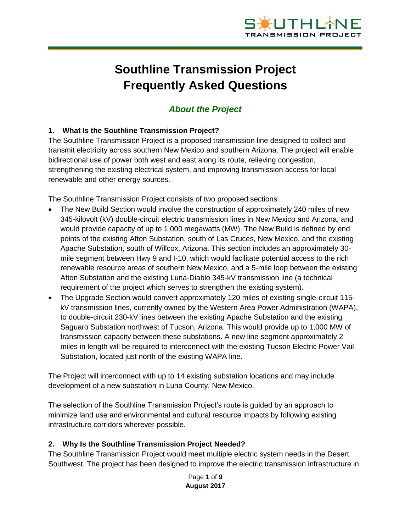

# **Southline Transmission Project Frequently Asked Questions**

# *About the Project*

## **1. What Is the Southline Transmission Project?**

The Southline Transmission Project is a proposed transmission line designed to collect and transmit electricity across southern New Mexico and southern Arizona. The project will enable bidirectional use of power both west and east along its route, relieving congestion, strengthening the existing electrical system, and improving transmission access for local renewable and other energy sources.

The Southline Transmission Project consists of two proposed sections:

- The New Build Section would involve the construction of approximately 240 miles of new 345-kilovolt (kV) double-circuit electric transmission lines in New Mexico and Arizona, and would provide capacity of up to 1,000 megawatts (MW). The New Build is defined by end points of the existing Afton Substation, south of Las Cruces, New Mexico, and the existing Apache Substation, south of Willcox, Arizona. This section includes an approximately 30 mile segment between Hwy 9 and I-10, which would facilitate potential access to the rich renewable resource areas of southern New Mexico, and a 5-mile loop between the existing Afton Substation and the existing Luna-Diablo 345-kV transmission line (a technical requirement of the project which serves to strengthen the existing system).
- The Upgrade Section would convert approximately 120 miles of existing single-circuit 115 kV transmission lines, currently owned by the Western Area Power Administration (WAPA), to double-circuit 230-kV lines between the existing Apache Substation and the existing Saguaro Substation northwest of Tucson, Arizona. This would provide up to 1,000 MW of transmission capacity between these substations. A new line segment approximately 2 miles in length will be required to interconnect with the existing Tucson Electric Power Vail Substation, located just north of the existing WAPA line.

The Project will interconnect with up to 14 existing substation locations and may include development of a new substation in Luna County, New Mexico.

The selection of the Southline Transmission Project's route is guided by an approach to minimize land use and environmental and cultural resource impacts by following existing infrastructure corridors wherever possible.

#### **2. Why Is the Southline Transmission Project Needed?**

The Southline Transmission Project would meet multiple electric system needs in the Desert Southwest. The project has been designed to improve the electric transmission infrastructure in

> Page **1** of **9 August 2017**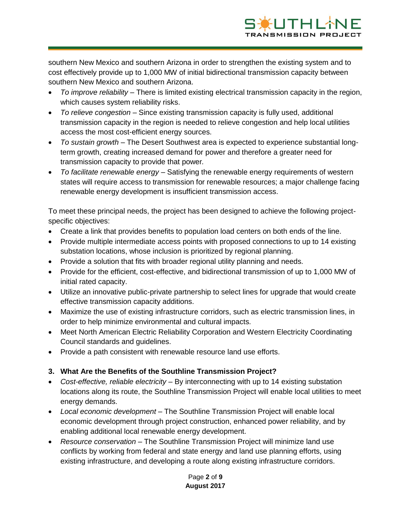

southern New Mexico and southern Arizona in order to strengthen the existing system and to cost effectively provide up to 1,000 MW of initial bidirectional transmission capacity between southern New Mexico and southern Arizona.

- *To improve reliability –* There is limited existing electrical transmission capacity in the region, which causes system reliability risks.
- *To relieve congestion –* Since existing transmission capacity is fully used, additional transmission capacity in the region is needed to relieve congestion and help local utilities access the most cost-efficient energy sources.
- *To sustain growth –* The Desert Southwest area is expected to experience substantial longterm growth, creating increased demand for power and therefore a greater need for transmission capacity to provide that power*.*
- *To facilitate renewable energy –* Satisfying the renewable energy requirements of western states will require access to transmission for renewable resources; a major challenge facing renewable energy development is insufficient transmission access.

To meet these principal needs, the project has been designed to achieve the following projectspecific objectives:

- Create a link that provides benefits to population load centers on both ends of the line.
- Provide multiple intermediate access points with proposed connections to up to 14 existing substation locations, whose inclusion is prioritized by regional planning.
- Provide a solution that fits with broader regional utility planning and needs.
- Provide for the efficient, cost-effective, and bidirectional transmission of up to 1,000 MW of initial rated capacity.
- Utilize an innovative public-private partnership to select lines for upgrade that would create effective transmission capacity additions.
- Maximize the use of existing infrastructure corridors, such as electric transmission lines, in order to help minimize environmental and cultural impacts.
- Meet North American Electric Reliability Corporation and Western Electricity Coordinating Council standards and guidelines.
- Provide a path consistent with renewable resource land use efforts.

# **3. What Are the Benefits of the Southline Transmission Project?**

- *Cost-effective, reliable electricity* By interconnecting with up to 14 existing substation locations along its route, the Southline Transmission Project will enable local utilities to meet energy demands.
- *Local economic development* The Southline Transmission Project will enable local economic development through project construction, enhanced power reliability, and by enabling additional local renewable energy development.
- *Resource conservation* The Southline Transmission Project will minimize land use conflicts by working from federal and state energy and land use planning efforts, using existing infrastructure, and developing a route along existing infrastructure corridors.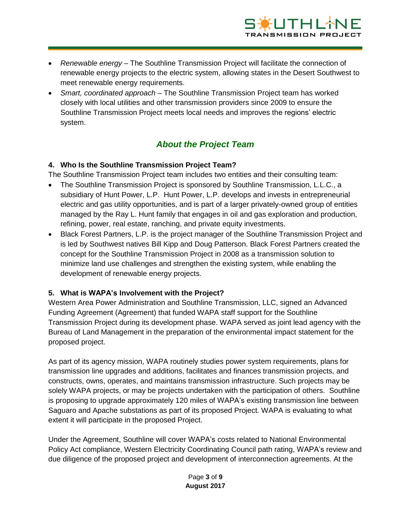

- *Renewable energy* The Southline Transmission Project will facilitate the connection of renewable energy projects to the electric system, allowing states in the Desert Southwest to meet renewable energy requirements.
- *Smart, coordinated approach* The Southline Transmission Project team has worked closely with local utilities and other transmission providers since 2009 to ensure the Southline Transmission Project meets local needs and improves the regions' electric system.

# *About the Project Team*

#### **4. Who Is the Southline Transmission Project Team?**

The Southline Transmission Project team includes two entities and their consulting team:

- The Southline Transmission Project is sponsored by Southline Transmission, L.L.C., a subsidiary of Hunt Power, L.P. Hunt Power, L.P. develops and invests in entrepreneurial electric and gas utility opportunities, and is part of a larger privately-owned group of entities managed by the Ray L. Hunt family that engages in oil and gas exploration and production, refining, power, real estate, ranching, and private equity investments.
- Black Forest Partners, L.P. is the project manager of the Southline Transmission Project and is led by Southwest natives Bill Kipp and Doug Patterson. Black Forest Partners created the concept for the Southline Transmission Project in 2008 as a transmission solution to minimize land use challenges and strengthen the existing system, while enabling the development of renewable energy projects.

#### **5. What is WAPA's Involvement with the Project?**

Western Area Power Administration and Southline Transmission, LLC, signed an Advanced Funding Agreement (Agreement) that funded WAPA staff support for the Southline Transmission Project during its development phase. WAPA served as joint lead agency with the Bureau of Land Management in the preparation of the environmental impact statement for the proposed project.

As part of its agency mission, WAPA routinely studies power system requirements, plans for transmission line upgrades and additions, facilitates and finances transmission projects, and constructs, owns, operates, and maintains transmission infrastructure. Such projects may be solely WAPA projects, or may be projects undertaken with the participation of others. Southline is proposing to upgrade approximately 120 miles of WAPA's existing transmission line between Saguaro and Apache substations as part of its proposed Project. WAPA is evaluating to what extent it will participate in the proposed Project.

Under the Agreement, Southline will cover WAPA's costs related to National Environmental Policy Act compliance, Western Electricity Coordinating Council path rating, WAPA's review and due diligence of the proposed project and development of interconnection agreements. At the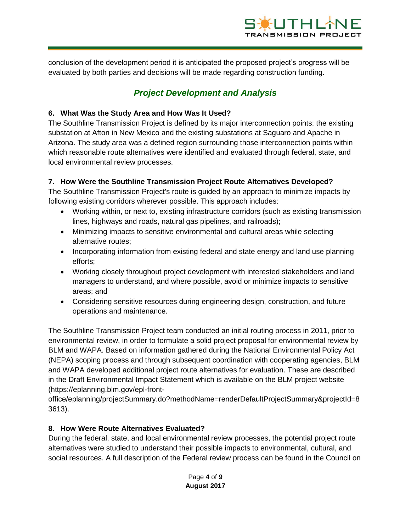

conclusion of the development period it is anticipated the proposed project's progress will be evaluated by both parties and decisions will be made regarding construction funding.

# *Project Development and Analysis*

## **6. What Was the Study Area and How Was It Used?**

The Southline Transmission Project is defined by its major interconnection points: the existing substation at Afton in New Mexico and the existing substations at Saguaro and Apache in Arizona. The study area was a defined region surrounding those interconnection points within which reasonable route alternatives were identified and evaluated through federal, state, and local environmental review processes.

#### **7. How Were the Southline Transmission Project Route Alternatives Developed?**

The Southline Transmission Project's route is guided by an approach to minimize impacts by following existing corridors wherever possible. This approach includes:

- Working within, or next to, existing infrastructure corridors (such as existing transmission lines, highways and roads, natural gas pipelines, and railroads);
- Minimizing impacts to sensitive environmental and cultural areas while selecting alternative routes;
- Incorporating information from existing federal and state energy and land use planning efforts;
- Working closely throughout project development with interested stakeholders and land managers to understand, and where possible, avoid or minimize impacts to sensitive areas; and
- Considering sensitive resources during engineering design, construction, and future operations and maintenance.

The Southline Transmission Project team conducted an initial routing process in 2011, prior to environmental review, in order to formulate a solid project proposal for environmental review by BLM and WAPA. Based on information gathered during the National Environmental Policy Act (NEPA) scoping process and through subsequent coordination with cooperating agencies, BLM and WAPA developed additional project route alternatives for evaluation. These are described in the Draft Environmental Impact Statement which is available on the BLM project website (https://eplanning.blm.gov/epl-front-

office/eplanning/projectSummary.do?methodName=renderDefaultProjectSummary&projectId=8 3613).

#### **8. How Were Route Alternatives Evaluated?**

During the federal, state, and local environmental review processes, the potential project route alternatives were studied to understand their possible impacts to environmental, cultural, and social resources. A full description of the Federal review process can be found in the Council on

> Page **4** of **9 August 2017**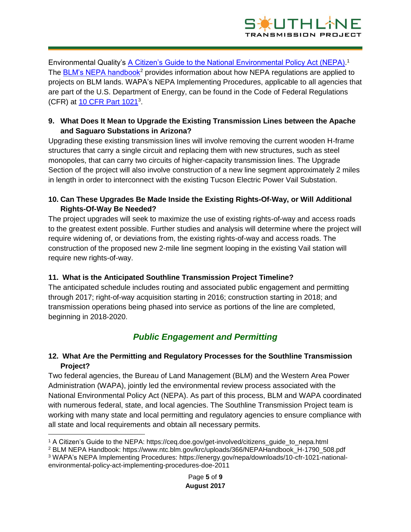

Environmental Quality's [A Citizen's Guide to the National Environmental Policy Act \(NEPA\).](https://ceq.doe.gov/get-involved/citizens_guide_to_nepa.html)<sup>1</sup> The [BLM's NEPA handbook](https://www.ntc.blm.gov/krc/uploads/366/NEPAHandbook_H-1790_508.pdf)<sup>2</sup> provides information about how NEPA regulations are applied to projects on BLM lands. WAPA's NEPA Implementing Procedures, applicable to all agencies that are part of the U.S. Department of Energy, can be found in the Code of Federal Regulations (CFR) at [10 CFR Part 1021](https://energy.gov/sites/prod/files/10CFRPart1021.pdf)<sup>3</sup>.

## **9. What Does It Mean to Upgrade the Existing Transmission Lines between the Apache and Saguaro Substations in Arizona?**

Upgrading these existing transmission lines will involve removing the current wooden H-frame structures that carry a single circuit and replacing them with new structures, such as steel monopoles, that can carry two circuits of higher-capacity transmission lines. The Upgrade Section of the project will also involve construction of a new line segment approximately 2 miles in length in order to interconnect with the existing Tucson Electric Power Vail Substation.

## **10. Can These Upgrades Be Made Inside the Existing Rights-Of-Way, or Will Additional Rights-Of-Way Be Needed?**

The project upgrades will seek to maximize the use of existing rights-of-way and access roads to the greatest extent possible. Further studies and analysis will determine where the project will require widening of, or deviations from, the existing rights-of-way and access roads. The construction of the proposed new 2-mile line segment looping in the existing Vail station will require new rights-of-way.

# **11. What is the Anticipated Southline Transmission Project Timeline?**

The anticipated schedule includes routing and associated public engagement and permitting through 2017; right-of-way acquisition starting in 2016; construction starting in 2018; and transmission operations being phased into service as portions of the line are completed, beginning in 2018-2020.

# *Public Engagement and Permitting*

# **12. What Are the Permitting and Regulatory Processes for the Southline Transmission Project?**

Two federal agencies, the Bureau of Land Management (BLM) and the Western Area Power Administration (WAPA), jointly led the environmental review process associated with the National Environmental Policy Act (NEPA). As part of this process, BLM and WAPA coordinated with numerous federal, state, and local agencies. The Southline Transmission Project team is working with many state and local permitting and regulatory agencies to ensure compliance with all state and local requirements and obtain all necessary permits.

 $\overline{a}$ <sup>1</sup> A Citizen's Guide to the NEPA: https://ceq.doe.gov/get-involved/citizens\_guide\_to\_nepa.html

<sup>2</sup> BLM NEPA Handbook: https://www.ntc.blm.gov/krc/uploads/366/NEPAHandbook\_H-1790\_508.pdf

<sup>3</sup> WAPA's NEPA Implementing Procedures: https://energy.gov/nepa/downloads/10-cfr-1021-nationalenvironmental-policy-act-implementing-procedures-doe-2011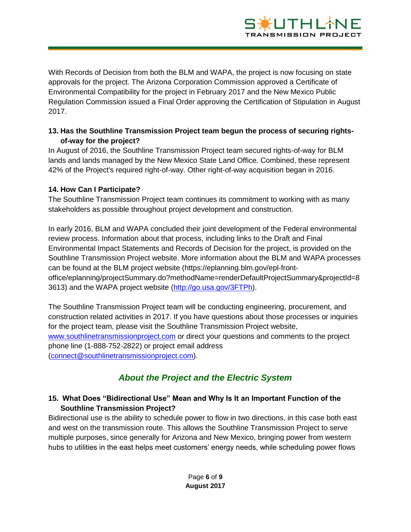

With Records of Decision from both the BLM and WAPA, the project is now focusing on state approvals for the project. The Arizona Corporation Commission approved a Certificate of Environmental Compatibility for the project in February 2017 and the New Mexico Public Regulation Commission issued a Final Order approving the Certification of Stipulation in August 2017.

## **13. Has the Southline Transmission Project team begun the process of securing rightsof-way for the project?**

In August of 2016, the Southline Transmission Project team secured rights-of-way for BLM lands and lands managed by the New Mexico State Land Office. Combined, these represent 42% of the Project's required right-of-way. Other right-of-way acquisition began in 2016.

#### **14. How Can I Participate?**

The Southline Transmission Project team continues its commitment to working with as many stakeholders as possible throughout project development and construction.

In early 2016, BLM and WAPA concluded their joint development of the Federal environmental review process. Information about that process, including links to the Draft and Final Environmental Impact Statements and Records of Decision for the project, is provided on the Southline Transmission Project website. More information about the BLM and WAPA processes can be found at the BLM project website (https://eplanning.blm.gov/epl-frontoffice/eplanning/projectSummary.do?methodName=renderDefaultProjectSummary&projectId=8 3613) and the WAPA project website [\(http://go.usa.gov/3FTPh\)](http://go.usa.gov/3FTPh).

The Southline Transmission Project team will be conducting engineering, procurement, and construction related activities in 2017. If you have questions about those processes or inquiries for the project team, please visit the Southline Transmission Project website, [www.southlinetransmissionproject.com](http://www.southlinetransmissionproject.com/) or direct your questions and comments to the project phone line (1-888-752-2822) or project email address [\(connect@southlinetransmissionproject.com\)](mailto:connect@southlinetransmissionproject.com).

# *About the Project and the Electric System*

#### **15. What Does "Bidirectional Use" Mean and Why Is It an Important Function of the Southline Transmission Project?**

Bidirectional use is the ability to schedule power to flow in two directions, in this case both east and west on the transmission route. This allows the Southline Transmission Project to serve multiple purposes, since generally for Arizona and New Mexico, bringing power from western hubs to utilities in the east helps meet customers' energy needs, while scheduling power flows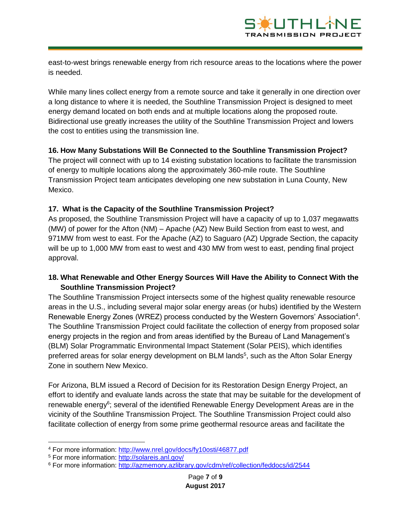

east-to-west brings renewable energy from rich resource areas to the locations where the power is needed.

While many lines collect energy from a remote source and take it generally in one direction over a long distance to where it is needed, the Southline Transmission Project is designed to meet energy demand located on both ends and at multiple locations along the proposed route. Bidirectional use greatly increases the utility of the Southline Transmission Project and lowers the cost to entities using the transmission line.

#### **16. How Many Substations Will Be Connected to the Southline Transmission Project?**

The project will connect with up to 14 existing substation locations to facilitate the transmission of energy to multiple locations along the approximately 360-mile route. The Southline Transmission Project team anticipates developing one new substation in Luna County, New Mexico.

#### **17. What is the Capacity of the Southline Transmission Project?**

As proposed, the Southline Transmission Project will have a capacity of up to 1,037 megawatts (MW) of power for the Afton (NM) – Apache (AZ) New Build Section from east to west, and 971MW from west to east. For the Apache (AZ) to Saguaro (AZ) Upgrade Section, the capacity will be up to 1,000 MW from east to west and 430 MW from west to east, pending final project approval.

#### **18. What Renewable and Other Energy Sources Will Have the Ability to Connect With the Southline Transmission Project?**

The Southline Transmission Project intersects some of the highest quality renewable resource areas in the U.S., including several major solar energy areas (or hubs) identified by the Western Renewable Energy Zones (WREZ) process conducted by the Western Governors' Association<sup>4</sup>. The Southline Transmission Project could facilitate the collection of energy from proposed solar energy projects in the region and from areas identified by the Bureau of Land Management's (BLM) Solar Programmatic Environmental Impact Statement (Solar PEIS), which identifies preferred areas for solar energy development on BLM lands<sup>5</sup>, such as the Afton Solar Energy Zone in southern New Mexico.

For Arizona, BLM issued a Record of Decision for its Restoration Design Energy Project, an effort to identify and evaluate lands across the state that may be suitable for the development of renewable energy<sup>6</sup>; several of the identified Renewable Energy Development Areas are in the vicinity of the Southline Transmission Project. The Southline Transmission Project could also facilitate collection of energy from some prime geothermal resource areas and facilitate the

 $\overline{\phantom{a}}$ 

<sup>4</sup> For more information:<http://www.nrel.gov/docs/fy10osti/46877.pdf>

<sup>5</sup> For more information:<http://solareis.anl.gov/>

<sup>6</sup> For more information:<http://azmemory.azlibrary.gov/cdm/ref/collection/feddocs/id/2544>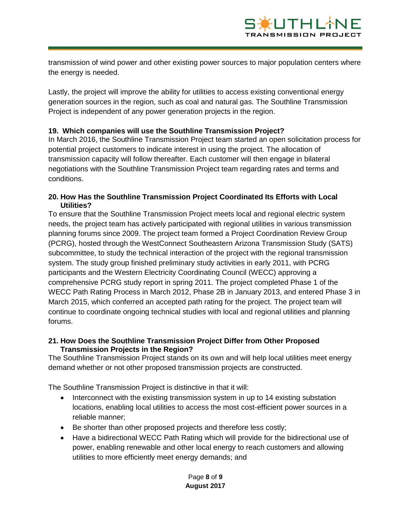

transmission of wind power and other existing power sources to major population centers where the energy is needed.

Lastly, the project will improve the ability for utilities to access existing conventional energy generation sources in the region, such as coal and natural gas. The Southline Transmission Project is independent of any power generation projects in the region.

#### **19. Which companies will use the Southline Transmission Project?**

In March 2016, the Southline Transmission Project team started an open solicitation process for potential project customers to indicate interest in using the project. The allocation of transmission capacity will follow thereafter. Each customer will then engage in bilateral negotiations with the Southline Transmission Project team regarding rates and terms and conditions.

#### **20. How Has the Southline Transmission Project Coordinated Its Efforts with Local Utilities?**

To ensure that the Southline Transmission Project meets local and regional electric system needs, the project team has actively participated with regional utilities in various transmission planning forums since 2009. The project team formed a Project Coordination Review Group (PCRG), hosted through the WestConnect Southeastern Arizona Transmission Study (SATS) subcommittee, to study the technical interaction of the project with the regional transmission system. The study group finished preliminary study activities in early 2011, with PCRG participants and the Western Electricity Coordinating Council (WECC) approving a comprehensive PCRG study report in spring 2011. The project completed Phase 1 of the WECC Path Rating Process in March 2012, Phase 2B in January 2013, and entered Phase 3 in March 2015, which conferred an accepted path rating for the project. The project team will continue to coordinate ongoing technical studies with local and regional utilities and planning forums.

#### **21. How Does the Southline Transmission Project Differ from Other Proposed Transmission Projects in the Region?**

The Southline Transmission Project stands on its own and will help local utilities meet energy demand whether or not other proposed transmission projects are constructed.

The Southline Transmission Project is distinctive in that it will:

- Interconnect with the existing transmission system in up to 14 existing substation locations, enabling local utilities to access the most cost-efficient power sources in a reliable manner;
- Be shorter than other proposed projects and therefore less costly;
- Have a bidirectional WECC Path Rating which will provide for the bidirectional use of power, enabling renewable and other local energy to reach customers and allowing utilities to more efficiently meet energy demands; and

#### Page **8** of **9 August 2017**